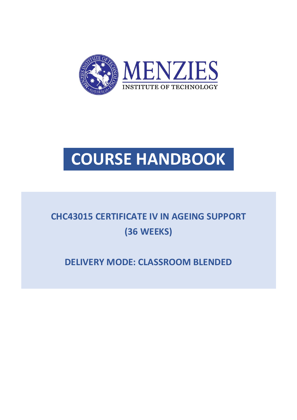

# **COURSE HANDBOOK**

# **CHC43015 CERTIFICATE IV IN AGEING SUPPORT (36 WEEKS)**

**DELIVERY MODE: CLASSROOM BLENDED**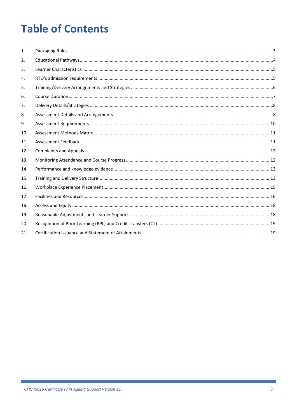# **Table of Contents**

| $\mathbf{1}$ . |  |
|----------------|--|
| 2.             |  |
| 3.             |  |
| 4.             |  |
| 5.             |  |
| 6.             |  |
| 7.             |  |
| 8.             |  |
| 9.             |  |
| 10.            |  |
| 11.            |  |
| 12.            |  |
| 13.            |  |
| 14.            |  |
| 15.            |  |
| 16.            |  |
| 17.            |  |
| 18.            |  |
| 19.            |  |
| 20.            |  |
| 21.            |  |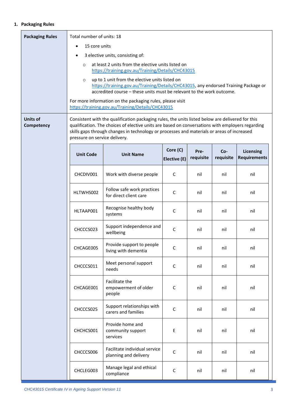#### <span id="page-2-0"></span>**1. Packaging Rules**

| <b>Packaging Rules</b>        | Total number of units: 18                                                                                          |                                                                                                                                                                                                                                                                                                    |                          |                   |                  |                                         |
|-------------------------------|--------------------------------------------------------------------------------------------------------------------|----------------------------------------------------------------------------------------------------------------------------------------------------------------------------------------------------------------------------------------------------------------------------------------------------|--------------------------|-------------------|------------------|-----------------------------------------|
|                               | 15 core units<br>$\bullet$                                                                                         |                                                                                                                                                                                                                                                                                                    |                          |                   |                  |                                         |
|                               | 3 elective units, consisting of:                                                                                   |                                                                                                                                                                                                                                                                                                    |                          |                   |                  |                                         |
|                               | at least 2 units from the elective units listed on<br>$\circ$<br>https://training.gov.au/Training/Details/CHC43015 |                                                                                                                                                                                                                                                                                                    |                          |                   |                  |                                         |
|                               | $\circ$                                                                                                            | up to 1 unit from the elective units listed on                                                                                                                                                                                                                                                     |                          |                   |                  |                                         |
|                               |                                                                                                                    | https://training.gov.au/Training/Details/CHC43015, any endorsed Training Package or<br>accredited course - these units must be relevant to the work outcome.                                                                                                                                       |                          |                   |                  |                                         |
|                               |                                                                                                                    | For more information on the packaging rules, please visit<br>https://training.gov.au/Training/Details/CHC43015                                                                                                                                                                                     |                          |                   |                  |                                         |
| <b>Units of</b><br>Competency | pressure on service delivery.                                                                                      | Consistent with the qualification packaging rules, the units listed below are delivered for this<br>qualification. The choices of elective units are based on conversations with employers regarding<br>skills gaps through changes in technology or processes and materials or areas of increased |                          |                   |                  |                                         |
|                               | <b>Unit Code</b>                                                                                                   | <b>Unit Name</b>                                                                                                                                                                                                                                                                                   | Core (C)<br>Elective (E) | Pre-<br>requisite | Co-<br>requisite | <b>Licensing</b><br><b>Requirements</b> |
|                               | CHCDIV001                                                                                                          | Work with diverse people                                                                                                                                                                                                                                                                           | C                        | nil               | nil              | nil                                     |
|                               | HLTWHS002                                                                                                          | Follow safe work practices<br>for direct client care                                                                                                                                                                                                                                               | C                        | nil               | nil              | nil                                     |
|                               | HLTAAP001                                                                                                          | C                                                                                                                                                                                                                                                                                                  | nil                      | nil               | nil              |                                         |
|                               | CHCCCS023                                                                                                          | Support independence and<br>wellbeing                                                                                                                                                                                                                                                              | C                        | nil               | nil              | nil                                     |
|                               | Provide support to people<br>CHCAGE005<br>С<br>nil<br>nil<br>living with dementia                                  |                                                                                                                                                                                                                                                                                                    |                          |                   |                  | nil                                     |
|                               | Meet personal support<br>CHCCCS011<br>$\mathsf C$<br>nil<br>nil<br>needs                                           |                                                                                                                                                                                                                                                                                                    |                          |                   | nil              |                                         |
|                               | Facilitate the<br>empowerment of older<br>CHCAGE001<br>C<br>nil<br>nil<br>people                                   |                                                                                                                                                                                                                                                                                                    |                          |                   | nil              |                                         |
|                               | CHCCCS025                                                                                                          | $\mathsf{C}$                                                                                                                                                                                                                                                                                       | nil                      | nil               | nil              |                                         |
|                               | CHCHCS001                                                                                                          | Provide home and<br>community support<br>services                                                                                                                                                                                                                                                  | E                        | nil               | nil              | nil                                     |
|                               | CHCCCS006                                                                                                          | C                                                                                                                                                                                                                                                                                                  | nil                      | nil               | nil              |                                         |
|                               | planning and delivery<br>Manage legal and ethical<br>CHCLEG003<br>C<br>nil<br>nil<br>compliance                    |                                                                                                                                                                                                                                                                                                    |                          |                   |                  | nil                                     |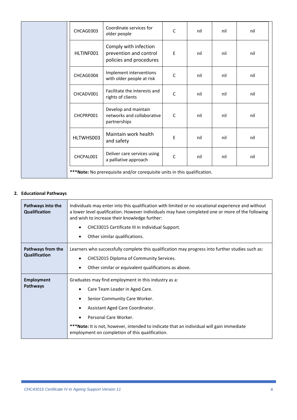|                                                                           | CHCAGE003 | Coordinate services for<br>older people                                    | C            | nil | nil | nil |
|---------------------------------------------------------------------------|-----------|----------------------------------------------------------------------------|--------------|-----|-----|-----|
|                                                                           | HLTINF001 | Comply with infection<br>prevention and control<br>policies and procedures | E            | nil | nil | nil |
|                                                                           | CHCAGE004 | Implement interventions<br>with older people at risk                       | C            | nil | nil | nil |
|                                                                           | CHCADV001 | Facilitate the interests and<br>rights of clients                          | $\mathsf{C}$ | nil | nil | nil |
|                                                                           | CHCPRP001 | Develop and maintain<br>networks and collaborative<br>partnerships         | C            | nil | nil | nil |
|                                                                           | HLTWHS003 | Maintain work health<br>and safety                                         | Е            | nil | nil | nil |
|                                                                           | CHCPAL001 | Deliver care services using<br>a palliative approach                       | $\mathsf{C}$ | nil | nil | nil |
| *** Note: No prerequisite and/or corequisite units in this qualification. |           |                                                                            |              |     |     |     |

# <span id="page-3-0"></span>**2. Educational Pathways**

| Pathways into the<br>Qualification | Individuals may enter into this qualification with limited or no vocational experience and without<br>a lower level qualification. However individuals may have completed one or more of the following<br>and wish to increase their knowledge further:<br>CHC33015 Certificate III in Individual Support.<br>$\bullet$<br>Other similar qualifications.<br>٠ |
|------------------------------------|---------------------------------------------------------------------------------------------------------------------------------------------------------------------------------------------------------------------------------------------------------------------------------------------------------------------------------------------------------------|
| Pathways from the<br>Qualification | Learners who successfully complete this qualification may progress into further studies such as:<br>CHC52015 Diploma of Community Services.<br>$\bullet$<br>Other similar or equivalent qualifications as above.                                                                                                                                              |
| <b>Employment</b><br>Pathways      | Graduates may find employment in this industry as a:<br>Care Team Leader in Aged Care.<br>$\bullet$<br>Senior Community Care Worker.<br>Assistant Aged Care Coordinator.<br>$\bullet$<br>Personal Care Worker.<br>***Note: It is not, however, intended to indicate that an individual will gain immediate<br>employment on completion of this qualification. |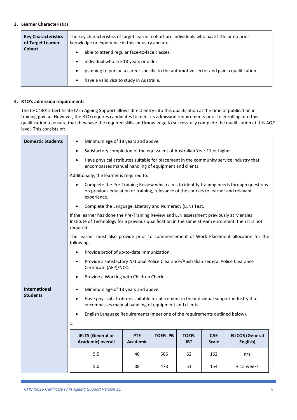#### <span id="page-4-0"></span>**3. Learner Characteristics**

| <b>Key Characteristics</b><br>of Target Learner | The key characteristics of target learner cohort are individuals who have little or no prior<br>knowledge or experience in this industry and are: |
|-------------------------------------------------|---------------------------------------------------------------------------------------------------------------------------------------------------|
| Cohort                                          | able to attend regular face-to-face classes.<br>$\bullet$<br>individual who are 18 years or older.<br>$\bullet$                                   |
|                                                 | planning to pursue a career specific to the automotive sector and gain a qualification.<br>٠<br>have a valid visa to study in Australia.<br>٠     |

# <span id="page-4-1"></span>**4. RTO's admission requirements**

The CHC43015 Certificate IV in Ageing Support allows direct entry into this qualification at the time of publication in training.gov.au. However, the RTO requires candidates to meet its admission requirements prior to enrolling into this qualification to ensure that they have the required skills and knowledge to successfully complete the qualification at this AQF level. This consists of:

| <b>Domestic Students</b>                | Minimum age of 18 years and above.<br>$\bullet$                                                                                                                                                             |                 |                 |              |              |                        |
|-----------------------------------------|-------------------------------------------------------------------------------------------------------------------------------------------------------------------------------------------------------------|-----------------|-----------------|--------------|--------------|------------------------|
|                                         | Satisfactory completion of the equivalent of Australian Year 11 or higher.<br>$\bullet$                                                                                                                     |                 |                 |              |              |                        |
|                                         | Have physical attributes suitable for placement in the community service industry that<br>$\bullet$<br>encompasses manual handling of equipment and clients.                                                |                 |                 |              |              |                        |
|                                         | Additionally, the learner is required to:                                                                                                                                                                   |                 |                 |              |              |                        |
|                                         | Complete the Pre-Training Review which aims to identify training needs through questions<br>$\bullet$<br>on previous education or training, relevance of the courses to learner and relevant<br>experience. |                 |                 |              |              |                        |
|                                         | Complete the Language, Literacy and Numeracy (LLN) Test.                                                                                                                                                    |                 |                 |              |              |                        |
|                                         | If the learner has done the Pre-Training Review and LLN assessment previously at Menzies<br>Institute of Technology for a previous qualification in the same stream enrolment, then it is not<br>required.  |                 |                 |              |              |                        |
|                                         | The learner must also provide prior to commencement of Work Placement allocation for the<br>following:                                                                                                      |                 |                 |              |              |                        |
|                                         | Provide proof of up-to-date immunization.<br>$\bullet$                                                                                                                                                      |                 |                 |              |              |                        |
|                                         | Provide a satisfactory National Police Clearance/Australian Federal Police Clearance<br>$\bullet$<br>Certificate (AFP)/NCC.                                                                                 |                 |                 |              |              |                        |
|                                         | Provide a Working with Children Check.<br>$\bullet$                                                                                                                                                         |                 |                 |              |              |                        |
|                                         |                                                                                                                                                                                                             |                 |                 |              |              |                        |
| <b>International</b><br><b>Students</b> | Minimum age of 18 years and above.<br>$\bullet$                                                                                                                                                             |                 |                 |              |              |                        |
|                                         | Have physical attributes suitable for placement in the individual support industry that<br>$\bullet$<br>encompasses manual handling of equipment and clients.                                               |                 |                 |              |              |                        |
|                                         | English Language Requirements (meet one of the requirements outlined below).                                                                                                                                |                 |                 |              |              |                        |
|                                         | 1.                                                                                                                                                                                                          |                 |                 |              |              |                        |
|                                         | <b>IELTS (General or</b>                                                                                                                                                                                    | <b>PTE</b>      | <b>TOEFL PB</b> | <b>TOEFL</b> | <b>CAE</b>   | <b>ELICOS (General</b> |
|                                         | Academic) overall                                                                                                                                                                                           | <b>Academic</b> |                 | <b>IBT</b>   | <b>Scale</b> | English)               |
|                                         | 5.5                                                                                                                                                                                                         | 46              | 506             | 62           | 162          | n/a                    |
|                                         | 5.0                                                                                                                                                                                                         | 38              | 478             | 51           | 154          | +15 weeks              |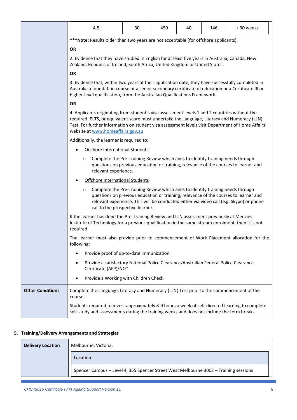|                         | 4.5                                                                                                                                                                                                                                                                                                                                     | 30 | 450 | 40 | 146 | +30 weeks |
|-------------------------|-----------------------------------------------------------------------------------------------------------------------------------------------------------------------------------------------------------------------------------------------------------------------------------------------------------------------------------------|----|-----|----|-----|-----------|
|                         | *** Note: Results older than two years are not acceptable (for offshore applicants).                                                                                                                                                                                                                                                    |    |     |    |     |           |
|                         | <b>OR</b>                                                                                                                                                                                                                                                                                                                               |    |     |    |     |           |
|                         | 2. Evidence that they have studied in English for at least five years in Australia, Canada, New<br>Zealand, Republic of Ireland, South Africa, United Kingdom or United States.                                                                                                                                                         |    |     |    |     |           |
|                         | <b>OR</b>                                                                                                                                                                                                                                                                                                                               |    |     |    |     |           |
|                         | 3. Evidence that, within two years of their application date, they have successfully completed in<br>Australia a foundation course or a senior secondary certificate of education or a Certificate III or<br>higher-level qualification, from the Australian Qualifications Framework.                                                  |    |     |    |     |           |
|                         | <b>OR</b>                                                                                                                                                                                                                                                                                                                               |    |     |    |     |           |
|                         | 4. Applicants originating from student's visa assessment levels 1 and 2 countries without the<br>required IELTS, or equivalent score must undertake the Language, Literacy and Numeracy (LLN)<br>Test. For further information on student visa assessment levels visit Department of Home Affairs'<br>website at www.homeaffairs.gov.au |    |     |    |     |           |
|                         | Additionally, the learner is required to:                                                                                                                                                                                                                                                                                               |    |     |    |     |           |
|                         | <b>Onshore International Students</b>                                                                                                                                                                                                                                                                                                   |    |     |    |     |           |
|                         | Complete the Pre-Training Review which aims to identify training needs through<br>O<br>questions on previous education or training, relevance of the courses to learner and<br>relevant experience.                                                                                                                                     |    |     |    |     |           |
|                         | Offshore International Students                                                                                                                                                                                                                                                                                                         |    |     |    |     |           |
|                         | Complete the Pre-Training Review which aims to identify training needs through<br>$\circ$<br>questions on previous education or training, relevance of the courses to learner and<br>relevant experience. This will be conducted either via video call (e.g. Skype) or phone<br>call to the prospective learner.                        |    |     |    |     |           |
|                         | If the learner has done the Pre-Training Review and LLN assessment previously at Menzies<br>Institute of Technology for a previous qualification in the same stream enrolment, then it is not<br>required.                                                                                                                              |    |     |    |     |           |
|                         | The learner must also provide prior to commencement of Work Placement allocation for the<br>following:<br>Provide proof of up-to-date immunization.<br>Provide a satisfactory National Police Clearance/Australian Federal Police Clearance<br>Certificate (AFP)/NCC.                                                                   |    |     |    |     |           |
|                         |                                                                                                                                                                                                                                                                                                                                         |    |     |    |     |           |
|                         |                                                                                                                                                                                                                                                                                                                                         |    |     |    |     |           |
|                         | Provide a Working with Children Check.                                                                                                                                                                                                                                                                                                  |    |     |    |     |           |
| <b>Other Conditions</b> | Complete the Language, Literacy and Numeracy (LLN) Test prior to the commencement of the<br>course.                                                                                                                                                                                                                                     |    |     |    |     |           |
|                         | Students required to invest approximately 8-9 hours a week of self-directed learning to complete<br>self-study and assessments during the training weeks and does not include the term breaks.                                                                                                                                          |    |     |    |     |           |

# <span id="page-5-0"></span>**5. Training/Delivery Arrangements and Strategies**

| <b>Delivery Location</b> | Melbourne, Victoria.                                                                 |
|--------------------------|--------------------------------------------------------------------------------------|
|                          | Location                                                                             |
|                          | Spencer Campus - Level 4, 355 Spencer Street West Melbourne 3003 - Training sessions |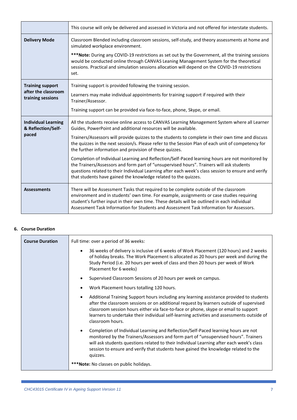|                                                  | This course will only be delivered and assessed in Victoria and not offered for interstate students.                                                                                                                                                                                                                                                                         |  |  |  |
|--------------------------------------------------|------------------------------------------------------------------------------------------------------------------------------------------------------------------------------------------------------------------------------------------------------------------------------------------------------------------------------------------------------------------------------|--|--|--|
| <b>Delivery Mode</b>                             | Classroom Blended including classroom sessions, self-study, and theory assessments at home and<br>simulated workplace environment.                                                                                                                                                                                                                                           |  |  |  |
|                                                  | ***Note: During any COVID-19 restrictions as set out by the Government, all the training sessions<br>would be conducted online through CANVAS Leaning Management System for the theoretical<br>sessions. Practical and simulation sessions allocation will depend on the COVID-19 restrictions<br>set.                                                                       |  |  |  |
| <b>Training support</b>                          | Training support is provided following the training session.                                                                                                                                                                                                                                                                                                                 |  |  |  |
| after the classroom<br>training sessions         | Learners may make individual appointments for training support if required with their<br>Trainer/Assessor.                                                                                                                                                                                                                                                                   |  |  |  |
|                                                  | Training support can be provided via face-to-face, phone, Skype, or email.                                                                                                                                                                                                                                                                                                   |  |  |  |
| <b>Individual Learning</b><br>& Reflection/Self- | All the students receive online access to CANVAS Learning Management System where all Learner<br>Guides, PowerPoint and additional resources will be available.                                                                                                                                                                                                              |  |  |  |
| paced                                            | Trainers/Assessors will provide quizzes to the students to complete in their own time and discuss<br>the quizzes in the next session/s. Please refer to the Session Plan of each unit of competency for<br>the further information and provision of these quizzes.                                                                                                           |  |  |  |
|                                                  | Completion of Individual Learning and Reflection/Self-Paced learning hours are not monitored by<br>the Trainers/Assessors and form part of "unsupervised hours". Trainers will ask students<br>questions related to their Individual Learning after each week's class session to ensure and verify<br>that students have gained the knowledge related to the quizzes.        |  |  |  |
| <b>Assessments</b>                               | There will be Assessment Tasks that required to be complete outside of the classroom<br>environment and in students' own time. For example, assignments or case studies requiring<br>student's further input in their own time. These details will be outlined in each individual<br>Assessment Task Information for Students and Assessment Task Information for Assessors. |  |  |  |

# <span id="page-6-0"></span>**6. Course Duration**

| <b>Course Duration</b> | Full time: over a period of 36 weeks:                                                                                                                                                                                                                                                                                                                                                                     |  |  |
|------------------------|-----------------------------------------------------------------------------------------------------------------------------------------------------------------------------------------------------------------------------------------------------------------------------------------------------------------------------------------------------------------------------------------------------------|--|--|
|                        | 36 weeks of delivery is inclusive of 6 weeks of Work Placement (120 hours) and 2 weeks<br>$\bullet$<br>of holiday breaks. The Work Placement is allocated as 20 hours per week and during the<br>Study Period (i.e. 20 hours per week of class and then 20 hours per week of Work<br>Placement for 6 weeks)                                                                                               |  |  |
|                        | Supervised Classroom Sessions of 20 hours per week on campus.<br>$\bullet$                                                                                                                                                                                                                                                                                                                                |  |  |
|                        | Work Placement hours totalling 120 hours.<br>$\bullet$                                                                                                                                                                                                                                                                                                                                                    |  |  |
|                        | Additional Training Support hours including any learning assistance provided to students<br>$\bullet$<br>after the classroom sessions or on additional request by learners outside of supervised<br>classroom session hours either via face-to-face or phone, skype or email to support<br>learners to undertake their individual self-learning activities and assessments outside of<br>classroom hours. |  |  |
|                        | Completion of Individual Learning and Reflection/Self-Paced learning hours are not<br>$\bullet$<br>monitored by the Trainers/Assessors and form part of "unsupervised hours". Trainers<br>will ask students questions related to their Individual Learning after each week's class<br>session to ensure and verify that students have gained the knowledge related to the<br>quizzes.                     |  |  |
|                        | ***Note: No classes on public holidays.                                                                                                                                                                                                                                                                                                                                                                   |  |  |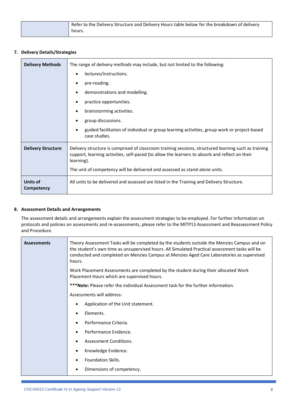| Refer to the Delivery Structure and Delivery Hours table below for the breakdown of delivery |
|----------------------------------------------------------------------------------------------|
| hours.                                                                                       |

### <span id="page-7-0"></span>**7. Delivery Details/Strategies**

| <b>Delivery Methods</b>   | The range of delivery methods may include, but not limited to the following:<br>lectures/instructions.<br>pre-reading.<br>demonstrations and modelling.<br>$\bullet$<br>practice opportunities.<br>brainstorming activities.<br>group discussions.<br>guided facilitation of individual or group learning activities, group work or project-based<br>case studies. |  |  |  |
|---------------------------|--------------------------------------------------------------------------------------------------------------------------------------------------------------------------------------------------------------------------------------------------------------------------------------------------------------------------------------------------------------------|--|--|--|
| <b>Delivery Structure</b> | Delivery structure is comprised of classroom training sessions, structured learning such as training<br>support, learning activities, self-paced (to allow the learners to absorb and reflect on their<br>learning).<br>The unit of competency will be delivered and assessed as stand-alone units.                                                                |  |  |  |
| Units of<br>Competency    | All units to be delivered and assessed are listed in the Training and Delivery Structure.                                                                                                                                                                                                                                                                          |  |  |  |

#### <span id="page-7-1"></span>**8. Assessment Details and Arrangements**

The assessment details and arrangements explain the assessment strategies to be employed. For further information on protocols and policies on assessments and re-assessments, please refer to the MITP13 Assessment and Reassessment Policy and Procedure.

| <b>Assessments</b> | Theory Assessment Tasks will be completed by the students outside the Menzies Campus and on<br>the student's own time as unsupervised hours. All Simulated Practical assessment tasks will be<br>conducted and completed on Menzies Campus at Menzies Aged Care Laboratories as supervised<br>hours. |  |
|--------------------|------------------------------------------------------------------------------------------------------------------------------------------------------------------------------------------------------------------------------------------------------------------------------------------------------|--|
|                    | Work Placement Assessments are completed by the student during their allocated Work<br>Placement Hours which are supervised hours.                                                                                                                                                                   |  |
|                    | ***Note: Please refer the individual Assessment task for the further information.                                                                                                                                                                                                                    |  |
|                    | Assessments will address:                                                                                                                                                                                                                                                                            |  |
|                    | Application of the Unit statement.                                                                                                                                                                                                                                                                   |  |
|                    | Elements.                                                                                                                                                                                                                                                                                            |  |
|                    | Performance Criteria.                                                                                                                                                                                                                                                                                |  |
|                    | Performance Evidence.                                                                                                                                                                                                                                                                                |  |
|                    | Assessment Conditions.                                                                                                                                                                                                                                                                               |  |
|                    | Knowledge Evidence.                                                                                                                                                                                                                                                                                  |  |
|                    | Foundation Skills.                                                                                                                                                                                                                                                                                   |  |
|                    | Dimensions of competency.                                                                                                                                                                                                                                                                            |  |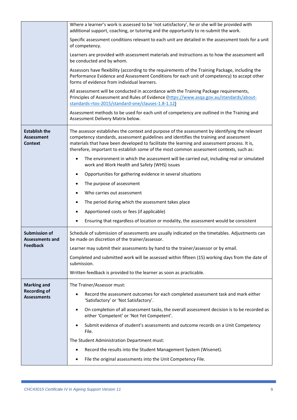|                                                             | Where a learner's work is assessed to be 'not satisfactory', he or she will be provided with<br>additional support, coaching, or tutoring and the opportunity to re-submit the work.                                                                                                                                                                                                |  |  |
|-------------------------------------------------------------|-------------------------------------------------------------------------------------------------------------------------------------------------------------------------------------------------------------------------------------------------------------------------------------------------------------------------------------------------------------------------------------|--|--|
|                                                             | Specific assessment conditions relevant to each unit are detailed in the assessment tools for a unit<br>of competency.                                                                                                                                                                                                                                                              |  |  |
|                                                             | Learners are provided with assessment materials and instructions as to how the assessment will<br>be conducted and by whom.                                                                                                                                                                                                                                                         |  |  |
|                                                             | Assessors have flexibility (according to the requirements of the Training Package, including the<br>Performance Evidence and Assessment Conditions for each unit of competency) to accept other<br>forms of evidence from individual learners.                                                                                                                                      |  |  |
|                                                             | All assessment will be conducted in accordance with the Training Package requirements,<br>Principles of Assessment and Rules of Evidence (https://www.asqa.gov.au/standards/about-<br>standards-rtos-2015/standard-one/clauses-1.8-1.12)                                                                                                                                            |  |  |
|                                                             | Assessment methods to be used for each unit of competency are outlined in the Training and<br>Assessment Delivery Matrix below.                                                                                                                                                                                                                                                     |  |  |
| <b>Establish the</b><br><b>Assessment</b><br><b>Context</b> | The assessor establishes the context and purpose of the assessment by identifying the relevant<br>competency standards, assessment guidelines and identifies the training and assessment<br>materials that have been developed to facilitate the learning and assessment process. It is,<br>therefore, important to establish some of the most common assessment contexts, such as: |  |  |
|                                                             | The environment in which the assessment will be carried out, including real or simulated<br>$\bullet$<br>work and Work Health and Safety (WHS) issues                                                                                                                                                                                                                               |  |  |
|                                                             | Opportunities for gathering evidence in several situations                                                                                                                                                                                                                                                                                                                          |  |  |
|                                                             | The purpose of assessment                                                                                                                                                                                                                                                                                                                                                           |  |  |
|                                                             | Who carries out assessment                                                                                                                                                                                                                                                                                                                                                          |  |  |
|                                                             | The period during which the assessment takes place                                                                                                                                                                                                                                                                                                                                  |  |  |
|                                                             | Apportioned costs or fees (if applicable)                                                                                                                                                                                                                                                                                                                                           |  |  |
|                                                             | Ensuring that regardless of location or modality, the assessment would be consistent                                                                                                                                                                                                                                                                                                |  |  |
| <b>Submission of</b><br>Assessments and                     | Schedule of submission of assessments are usually indicated on the timetables. Adjustments can<br>be made on discretion of the trainer/assessor.                                                                                                                                                                                                                                    |  |  |
| Feedback                                                    | Learner may submit their assessments by hand to the trainer/assessor or by email.                                                                                                                                                                                                                                                                                                   |  |  |
|                                                             | Completed and submitted work will be assessed within fifteen (15) working days from the date of<br>submission.                                                                                                                                                                                                                                                                      |  |  |
|                                                             | Written feedback is provided to the learner as soon as practicable.                                                                                                                                                                                                                                                                                                                 |  |  |
| <b>Marking and</b>                                          | The Trainer/Assessor must:                                                                                                                                                                                                                                                                                                                                                          |  |  |
| <b>Recording of</b><br><b>Assessments</b>                   | Record the assessment outcomes for each completed assessment task and mark either<br>$\bullet$<br>'Satisfactory' or 'Not Satisfactory'.                                                                                                                                                                                                                                             |  |  |
|                                                             | On completion of all assessment tasks, the overall assessment decision is to be recorded as<br>$\bullet$<br>either 'Competent' or 'Not Yet Competent'.                                                                                                                                                                                                                              |  |  |
|                                                             | Submit evidence of student's assessments and outcome records on a Unit Competency<br>File.                                                                                                                                                                                                                                                                                          |  |  |
|                                                             | The Student Administration Department must:                                                                                                                                                                                                                                                                                                                                         |  |  |
|                                                             | Record the results into the Student Management System (Wisenet).<br>$\bullet$                                                                                                                                                                                                                                                                                                       |  |  |
|                                                             | File the original assessments into the Unit Competency File.                                                                                                                                                                                                                                                                                                                        |  |  |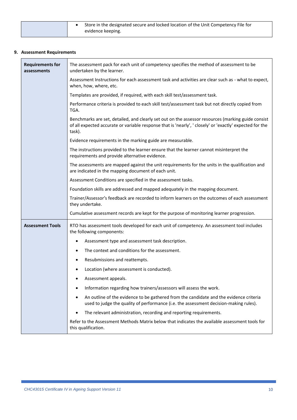|  | Store in the designated secure and locked location of the Unit Competency File for<br>evidence keeping. |
|--|---------------------------------------------------------------------------------------------------------|
|  |                                                                                                         |

# <span id="page-9-0"></span>**9. Assessment Requirements**

| <b>Requirements for</b><br>assessments | The assessment pack for each unit of competency specifies the method of assessment to be<br>undertaken by the learner.                                                                                                  |  |  |
|----------------------------------------|-------------------------------------------------------------------------------------------------------------------------------------------------------------------------------------------------------------------------|--|--|
|                                        | Assessment Instructions for each assessment task and activities are clear such as - what to expect,<br>when, how, where, etc.                                                                                           |  |  |
|                                        | Templates are provided, if required, with each skill test/assessment task.                                                                                                                                              |  |  |
|                                        | Performance criteria is provided to each skill test/assessment task but not directly copied from<br>TGA.                                                                                                                |  |  |
|                                        | Benchmarks are set, detailed, and clearly set out on the assessor resources (marking guide consist<br>of all expected accurate or variable response that is 'nearly', 'closely' or 'exactly' expected for the<br>task). |  |  |
|                                        | Evidence requirements in the marking guide are measurable.                                                                                                                                                              |  |  |
|                                        | The instructions provided to the learner ensure that the learner cannot misinterpret the<br>requirements and provide alternative evidence.                                                                              |  |  |
|                                        | The assessments are mapped against the unit requirements for the units in the qualification and<br>are indicated in the mapping document of each unit.                                                                  |  |  |
|                                        | Assessment Conditions are specified in the assessment tasks.                                                                                                                                                            |  |  |
|                                        | Foundation skills are addressed and mapped adequately in the mapping document.                                                                                                                                          |  |  |
|                                        | Trainer/Assessor's feedback are recorded to inform learners on the outcomes of each assessment<br>they undertake.                                                                                                       |  |  |
|                                        | Cumulative assessment records are kept for the purpose of monitoring learner progression.                                                                                                                               |  |  |
| <b>Assessment Tools</b>                | RTO has assessment tools developed for each unit of competency. An assessment tool includes<br>the following components:                                                                                                |  |  |
|                                        | Assessment type and assessment task description.                                                                                                                                                                        |  |  |
|                                        | The context and conditions for the assessment.                                                                                                                                                                          |  |  |
|                                        | Resubmissions and reattempts.                                                                                                                                                                                           |  |  |
|                                        | Location (where assessment is conducted).                                                                                                                                                                               |  |  |
|                                        | Assessment appeals.                                                                                                                                                                                                     |  |  |
|                                        | Information regarding how trainers/assessors will assess the work.<br>$\bullet$                                                                                                                                         |  |  |
|                                        | An outline of the evidence to be gathered from the candidate and the evidence criteria<br>$\bullet$<br>used to judge the quality of performance (i.e. the assessment decision-making rules).                            |  |  |
|                                        | The relevant administration, recording and reporting requirements.                                                                                                                                                      |  |  |
|                                        | Refer to the Assessment Methods Matrix below that indicates the available assessment tools for<br>this qualification.                                                                                                   |  |  |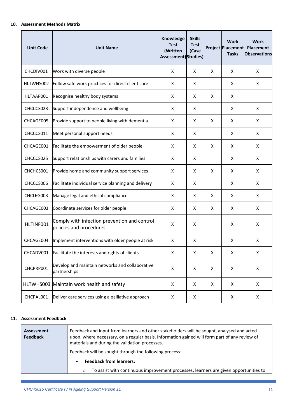#### <span id="page-10-0"></span>**10. Assessment Methods Matrix**

| <b>Unit Code</b> | <b>Unit Name</b>                                                        | Knowledge<br><b>Test</b><br>(Written<br>Assessment) Studies) | <b>Skills</b><br><b>Test</b><br>(Case |   | <b>Work</b><br><b>Project Placement</b><br><b>Tasks</b> | <b>Work</b><br><b>Placement</b><br><b>Observations</b> |
|------------------|-------------------------------------------------------------------------|--------------------------------------------------------------|---------------------------------------|---|---------------------------------------------------------|--------------------------------------------------------|
| CHCDIV001        | Work with diverse people                                                | X                                                            | X                                     | X | X                                                       | X                                                      |
| HLTWHS002        | Follow safe work practices for direct client care                       | Χ                                                            | X                                     |   | X                                                       | Χ                                                      |
| HLTAAP001        | Recognise healthy body systems                                          | X                                                            | X                                     | X | X                                                       |                                                        |
| CHCCCS023        | Support independence and wellbeing                                      | X                                                            | X                                     |   | X                                                       | X                                                      |
| CHCAGE005        | Provide support to people living with dementia                          | X                                                            | X                                     | X | X                                                       | X                                                      |
| CHCCCS011        | Meet personal support needs                                             | X                                                            | X                                     |   | X                                                       | X                                                      |
| CHCAGE001        | Facilitate the empowerment of older people                              | X                                                            | X                                     | X | X                                                       | X                                                      |
| CHCCCS025        | Support relationships with carers and families                          | X                                                            | X                                     |   | X                                                       | Χ                                                      |
| CHCHCS001        | Provide home and community support services                             | X                                                            | X                                     | X | X                                                       | Χ                                                      |
| CHCCCS006        | Facilitate individual service planning and delivery                     | X                                                            | X                                     |   | X                                                       | X                                                      |
| CHCLEG003        | Manage legal and ethical compliance                                     | X                                                            | X                                     | X | X                                                       | X                                                      |
| CHCAGE003        | Coordinate services for older people                                    | X                                                            | X                                     | X | X                                                       | X                                                      |
| HLTINF001        | Comply with infection prevention and control<br>policies and procedures | X                                                            | X                                     |   | X                                                       | X                                                      |
| CHCAGE004        | Implement interventions with older people at risk                       | X                                                            | X                                     |   | X                                                       | X                                                      |
| CHCADV001        | Facilitate the interests and rights of clients                          | X                                                            | X                                     | X | X                                                       | X                                                      |
| CHCPRP001        | Develop and maintain networks and collaborative<br>partnerships         | X                                                            | X                                     | X | X                                                       | X                                                      |
|                  | HLTWHS003 Maintain work health and safety                               | X                                                            | X                                     | X | X                                                       | Χ                                                      |
| CHCPAL001        | Deliver care services using a palliative approach                       | X                                                            | X                                     |   | Χ                                                       | Χ                                                      |

#### <span id="page-10-1"></span>**11. Assessment Feedback**

| Assessment<br><b>Feedback</b> | Feedback and input from learners and other stakeholders will be sought, analysed and acted<br>upon, where necessary, on a regular basis. Information gained will form part of any review of<br>materials and during the validation processes.<br>Feedback will be sought through the following process: |  |
|-------------------------------|---------------------------------------------------------------------------------------------------------------------------------------------------------------------------------------------------------------------------------------------------------------------------------------------------------|--|
|                               | <b>Feedback from learners:</b><br>$\bullet$<br>To assist with continuous improvement processes, learners are given opportunities to<br>$\circ$                                                                                                                                                          |  |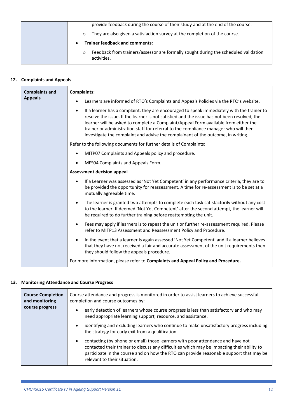| provide feedback during the course of their study and at the end of the course.                               |
|---------------------------------------------------------------------------------------------------------------|
| They are also given a satisfaction survey at the completion of the course.<br>$\circ$                         |
| <b>Trainer feedback and comments:</b><br>$\bullet$                                                            |
| Feedback from trainers/assessor are formally sought during the scheduled validation<br>$\circ$<br>activities. |

# **12. Complaints and Appeals**

<span id="page-11-0"></span>

| <b>Complaints and</b> | <b>Complaints:</b>                                                                                                                                                                                                                                                                                                                                                                                                                                                        |  |  |  |
|-----------------------|---------------------------------------------------------------------------------------------------------------------------------------------------------------------------------------------------------------------------------------------------------------------------------------------------------------------------------------------------------------------------------------------------------------------------------------------------------------------------|--|--|--|
| <b>Appeals</b>        | Learners are informed of RTO's Complaints and Appeals Policies via the RTO's website.                                                                                                                                                                                                                                                                                                                                                                                     |  |  |  |
|                       | If a learner has a complaint, they are encouraged to speak immediately with the trainer to<br>$\bullet$<br>resolve the issue. If the learner is not satisfied and the issue has not been resolved, the<br>learner will be asked to complete a Complaint/Appeal Form available from either the<br>trainer or administration staff for referral to the compliance manager who will then<br>investigate the complaint and advise the complainant of the outcome, in writing. |  |  |  |
|                       | Refer to the following documents for further details of Complaints:                                                                                                                                                                                                                                                                                                                                                                                                       |  |  |  |
|                       | MITP07 Complaints and Appeals policy and procedure.                                                                                                                                                                                                                                                                                                                                                                                                                       |  |  |  |
|                       | MFS04 Complaints and Appeals Form.<br>$\bullet$                                                                                                                                                                                                                                                                                                                                                                                                                           |  |  |  |
|                       | <b>Assessment decision appeal</b>                                                                                                                                                                                                                                                                                                                                                                                                                                         |  |  |  |
|                       | If a Learner was assessed as 'Not Yet Competent' in any performance criteria, they are to<br>$\bullet$<br>be provided the opportunity for reassessment. A time for re-assessment is to be set at a<br>mutually agreeable time.                                                                                                                                                                                                                                            |  |  |  |
|                       | The learner is granted two attempts to complete each task satisfactorily without any cost<br>to the learner. If deemed 'Not Yet Competent' after the second attempt, the learner will<br>be required to do further training before reattempting the unit.                                                                                                                                                                                                                 |  |  |  |
|                       | Fees may apply if learners is to repeat the unit or further re-assessment required. Please<br>$\bullet$<br>refer to MITP13 Assessment and Reassessment Policy and Procedure.                                                                                                                                                                                                                                                                                              |  |  |  |
|                       | In the event that a learner is again assessed 'Not Yet Competent' and if a learner believes<br>$\bullet$<br>that they have not received a fair and accurate assessment of the unit requirements then<br>they should follow the appeals procedure.                                                                                                                                                                                                                         |  |  |  |
|                       | For more information, please refer to Complaints and Appeal Policy and Procedure.                                                                                                                                                                                                                                                                                                                                                                                         |  |  |  |

# **13. Monitoring Attendance and Course Progress**

<span id="page-11-1"></span>

| <b>Course Completion</b><br>and monitoring | Course attendance and progress is monitored in order to assist learners to achieve successful<br>completion and course outcomes by:                                                                                                                                                                                    |
|--------------------------------------------|------------------------------------------------------------------------------------------------------------------------------------------------------------------------------------------------------------------------------------------------------------------------------------------------------------------------|
| course progress                            | early detection of learners whose course progress is less than satisfactory and who may<br>$\bullet$<br>need appropriate learning support, resource, and assistance.                                                                                                                                                   |
|                                            | identifying and excluding learners who continue to make unsatisfactory progress including<br>$\bullet$<br>the strategy for early exit from a qualification.                                                                                                                                                            |
|                                            | contacting (by phone or email) those learners with poor attendance and have not<br>$\bullet$<br>contacted their trainer to discuss any difficulties which may be impacting their ability to<br>participate in the course and on how the RTO can provide reasonable support that may be<br>relevant to their situation. |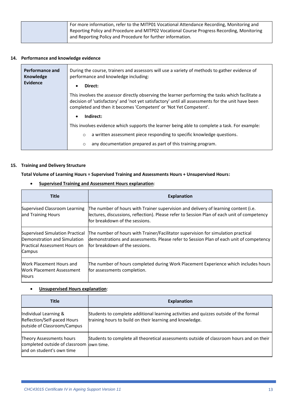| For more information, refer to the MITP01 Vocational Attendance Recording, Monitoring and  |
|--------------------------------------------------------------------------------------------|
| Reporting Policy and Procedure and MITP02 Vocational Course Progress Recording, Monitoring |
| and Reporting Policy and Procedure for further information.                                |
|                                                                                            |

# **14. Performance and knowledge evidence**

<span id="page-12-0"></span>

| Performance and<br><b>Knowledge</b><br>Evidence | During the course, trainers and assessors will use a variety of methods to gather evidence of<br>performance and knowledge including:<br>Direct:<br>$\bullet$                                                                                                                |
|-------------------------------------------------|------------------------------------------------------------------------------------------------------------------------------------------------------------------------------------------------------------------------------------------------------------------------------|
|                                                 | This involves the assessor directly observing the learner performing the tasks which facilitate a<br>decision of 'satisfactory' and 'not yet satisfactory' until all assessments for the unit have been<br>completed and then it becomes 'Competent' or 'Not Yet Competent'. |
|                                                 | Indirect:<br>$\bullet$                                                                                                                                                                                                                                                       |
|                                                 | This involves evidence which supports the learner being able to complete a task. For example:                                                                                                                                                                                |
|                                                 | a written assessment piece responding to specific knowledge questions.<br>$\circ$                                                                                                                                                                                            |
|                                                 | any documentation prepared as part of this training program.<br>$\circ$                                                                                                                                                                                                      |

#### **15. Training and Delivery Structure**

<span id="page-12-1"></span>**Total Volume of Learning Hours = Supervised Training and Assessments Hours + Unsupervised Hours:**

• **Supervised Training and Assessment Hours explanation**:

| <b>Title</b>                                                                                                      | <b>Explanation</b>                                                                                                                                                                                                   |
|-------------------------------------------------------------------------------------------------------------------|----------------------------------------------------------------------------------------------------------------------------------------------------------------------------------------------------------------------|
| Supervised Classroom Learning<br>and Training Hours                                                               | The number of hours with Trainer supervision and delivery of learning content (i.e.<br>lectures, discussions, reflection). Please refer to Session Plan of each unit of competency<br>for breakdown of the sessions. |
| Supervised Simulation Practical<br>Demonstration and Simulation<br><b>Practical Assessment Hours on</b><br>Campus | The number of hours with Trainer/Facilitator supervision for simulation practical<br>demonstrations and assessments. Please refer to Session Plan of each unit of competency<br>for breakdown of the sessions.       |
| Work Placement Hours and<br>Work Placement Assessment<br><b>Hours</b>                                             | The number of hours completed during Work Placement Experience which includes hours<br>for assessments completion.                                                                                                   |

# • **Unsupervised Hours explanation**:

| Title                                                                                              | <b>Explanation</b>                                                                                                                                |
|----------------------------------------------------------------------------------------------------|---------------------------------------------------------------------------------------------------------------------------------------------------|
| Individual Learning &<br>Reflection/Self-paced Hours<br>outside of Classroom/Campus                | Students to complete additional learning activities and quizzes outside of the formal<br>training hours to build on their learning and knowledge. |
| Theory Assessments hours<br>completed outside of classroom own time.<br>land on student's own time | Students to complete all theoretical assessments outside of classroom hours and on their                                                          |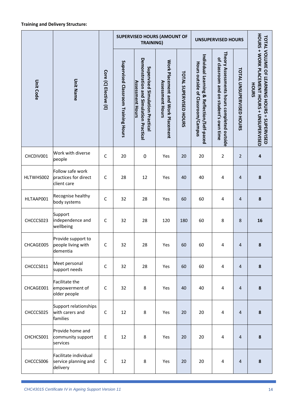|                  |                                                           |                       | <b>SUPERVISED HOURS (AMOUNT OF</b><br><b>TRAINING)</b> |                                                                                                     |                                                              |                               | <b>UNSUPERVISED HOURS</b>                                                        |                                                                                      |                                 |                                                                                                                 |
|------------------|-----------------------------------------------------------|-----------------------|--------------------------------------------------------|-----------------------------------------------------------------------------------------------------|--------------------------------------------------------------|-------------------------------|----------------------------------------------------------------------------------|--------------------------------------------------------------------------------------|---------------------------------|-----------------------------------------------------------------------------------------------------------------|
| <b>Unit Code</b> | <b>Unit Name</b>                                          | Core (C) Elective (E) | Supervised Classroom Training Hours                    | Demonstration and Simulation Practical<br>Supervised Simulation Practica<br><b>Assessment Hours</b> | Work Placement and Work Placement<br><b>Assessment Hours</b> | <b>TOTAL SUPERVISED HOURS</b> | Individual Learning & Reflection/Self-paced<br>Hours outside of Classroom/Campus | Theory Assessments hours completed outside<br>of classroom and on student's own time | <b>TOTAL UNSUPERVISED HOURS</b> | HOURS + WORK PLACEMENT HOURS + UNSUPERVISED<br><b>TOTAL VOLUME OF LEARNING HOURS</b><br>HOURS<br>$=$ SUPERVISED |
| CHCDIV001        | Work with diverse<br>people                               | $\mathsf{C}$          | 20                                                     | $\boldsymbol{0}$                                                                                    | Yes                                                          | 20                            | 20                                                                               | 2                                                                                    | 2                               | 4                                                                                                               |
| HLTWHS002        | Follow safe work<br>practices for direct<br>client care   | $\mathsf{C}$          | 28                                                     | 12                                                                                                  | Yes                                                          | 40                            | 40                                                                               | 4                                                                                    | 4                               | 8                                                                                                               |
| HLTAAP001        | Recognise healthy<br>body systems                         | $\mathsf C$           | 32                                                     | 28                                                                                                  | Yes                                                          | 60                            | 60                                                                               | 4                                                                                    | 4                               | 8                                                                                                               |
| CHCCCS023        | Support<br>independence and<br>wellbeing                  | $\mathsf C$           | 32                                                     | 28                                                                                                  | 120                                                          | 180                           | 60                                                                               | 8                                                                                    | 8                               | 16                                                                                                              |
| CHCAGE005        | Provide support to<br>people living with<br>dementia      | C                     | 32                                                     | 28                                                                                                  | Yes                                                          | 60                            | 60                                                                               | 4                                                                                    | 4                               | 8                                                                                                               |
| CHCCCS011        | Meet personal<br>support needs                            | $\mathsf{C}$          | 32                                                     | 28                                                                                                  | Yes                                                          | 60                            | 60                                                                               | 4                                                                                    | $\overline{4}$                  | 8                                                                                                               |
| CHCAGE001        | Facilitate the<br>empowerment of<br>older people          | C                     | 32                                                     | 8                                                                                                   | Yes                                                          | 40                            | 40                                                                               | 4                                                                                    | $\overline{4}$                  | 8                                                                                                               |
| CHCCCS025        | Support relationships<br>with carers and<br>families      | $\mathsf{C}$          | 12                                                     | 8                                                                                                   | Yes                                                          | 20                            | 20                                                                               | 4                                                                                    | $\overline{4}$                  | 8                                                                                                               |
| CHCHCS001        | Provide home and<br>community support<br>services         | E                     | 12                                                     | 8                                                                                                   | Yes                                                          | 20                            | 20                                                                               | 4                                                                                    | $\overline{4}$                  | 8                                                                                                               |
| CHCCCS006        | Facilitate individual<br>service planning and<br>delivery | $\mathsf{C}$          | 12                                                     | 8                                                                                                   | Yes                                                          | 20                            | 20                                                                               | 4                                                                                    | 4                               | 8                                                                                                               |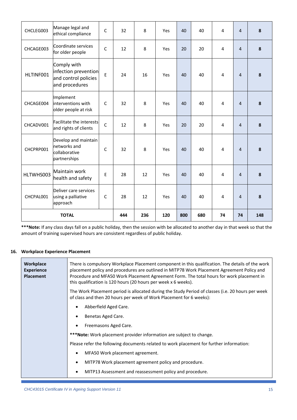| CHCLEG003    | Manage legal and<br>ethical compliance                                        | $\mathsf{C}$ | 32  | 8   | Yes | 40  | 40 | 4  | $\overline{4}$ | 8 |
|--------------|-------------------------------------------------------------------------------|--------------|-----|-----|-----|-----|----|----|----------------|---|
| CHCAGE003    | Coordinate services<br>for older people                                       | $\mathsf{C}$ | 12  | 8   | Yes | 20  | 20 | 4  | $\overline{4}$ | 8 |
| HLTINF001    | Comply with<br>infection prevention<br>and control policies<br>and procedures | E            | 24  | 16  | Yes | 40  | 40 | 4  | $\overline{4}$ | 8 |
| CHCAGE004    | Implement<br>interventions with<br>older people at risk                       | $\mathsf{C}$ | 32  | 8   | Yes | 40  | 40 | 4  | $\overline{4}$ | 8 |
| CHCADV001    | <b>Facilitate the interests</b><br>and rights of clients                      | $\mathsf{C}$ | 12  | 8   | Yes | 20  | 20 | 4  | $\overline{4}$ | 8 |
| CHCPRP001    | Develop and maintain<br>networks and<br>collaborative<br>partnerships         | $\mathsf{C}$ | 32  | 8   | Yes | 40  | 40 | 4  | $\overline{4}$ | 8 |
| HLTWHS003    | Maintain work<br>health and safety                                            | E            | 28  | 12  | Yes | 40  | 40 | 4  | $\overline{4}$ | 8 |
| CHCPAL001    | Deliver care services<br>using a palliative<br>approach                       | $\mathsf{C}$ | 28  | 12  | Yes | 40  | 40 | 4  | $\overline{a}$ | 8 |
| <b>TOTAL</b> |                                                                               | 444          | 236 | 120 | 800 | 680 | 74 | 74 | 148            |   |

**\*\*\*Note:** If any class days fall on a public holiday, then the session with be allocated to another day in that week so that the amount of training supervised hours are consistent regardless of public holiday.

#### **16. Workplace Experience Placement**

<span id="page-14-0"></span>

| Workplace<br><b>Experience</b><br><b>Placement</b> | There is compulsory Workplace Placement component in this qualification. The details of the work<br>placement policy and procedures are outlined in MITP78 Work Placement Agreement Policy and<br>Procedure and MFA50 Work Placement Agreement Form. The total hours for work placement in<br>this qualification is 120 hours (20 hours per week x 6 weeks). |
|----------------------------------------------------|--------------------------------------------------------------------------------------------------------------------------------------------------------------------------------------------------------------------------------------------------------------------------------------------------------------------------------------------------------------|
|                                                    | The Work Placement period is allocated during the Study Period of classes (i.e. 20 hours per week<br>of class and then 20 hours per week of Work Placement for 6 weeks):                                                                                                                                                                                     |
|                                                    | Abberfield Aged Care.<br>$\bullet$                                                                                                                                                                                                                                                                                                                           |
|                                                    | Benetas Aged Care.<br>$\bullet$                                                                                                                                                                                                                                                                                                                              |
|                                                    | Freemasons Aged Care.<br>$\bullet$                                                                                                                                                                                                                                                                                                                           |
|                                                    | ***Note: Work placement provider information are subject to change.                                                                                                                                                                                                                                                                                          |
|                                                    | Please refer the following documents related to work placement for further information:                                                                                                                                                                                                                                                                      |
|                                                    | MFA50 Work placement agreement.<br>$\bullet$                                                                                                                                                                                                                                                                                                                 |
|                                                    | MITP78 Work placement agreement policy and procedure.<br>$\bullet$                                                                                                                                                                                                                                                                                           |
|                                                    | MITP13 Assessment and reassessment policy and procedure.<br>$\bullet$                                                                                                                                                                                                                                                                                        |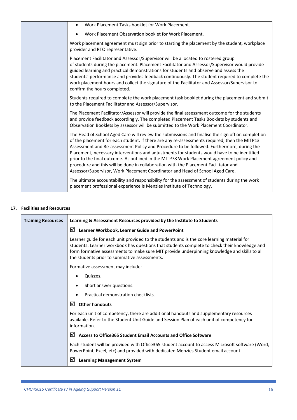|  | Work Placement Tasks booklet for Work Placement.<br>$\bullet$                                                                                                                                                                                                                                                                                                                                                                                                                                                                                                                                                                                                     |
|--|-------------------------------------------------------------------------------------------------------------------------------------------------------------------------------------------------------------------------------------------------------------------------------------------------------------------------------------------------------------------------------------------------------------------------------------------------------------------------------------------------------------------------------------------------------------------------------------------------------------------------------------------------------------------|
|  | Work Placement Observation booklet for Work Placement.                                                                                                                                                                                                                                                                                                                                                                                                                                                                                                                                                                                                            |
|  | Work placement agreement must sign prior to starting the placement by the student, workplace<br>provider and RTO representative.                                                                                                                                                                                                                                                                                                                                                                                                                                                                                                                                  |
|  | Placement Facilitator and Assessor/Supervisor will be allocated to rostered group<br>of students during the placement. Placement Facilitator and Assessor/Supervisor would provide<br>guided learning and practical demonstrations for students and observe and assess the<br>students' performance and provides feedback continuously. The student required to complete the<br>work placement hours and collect the signature of the Facilitator and Assessor/Supervisor to<br>confirm the hours completed.                                                                                                                                                      |
|  | Students required to complete the work placement task booklet during the placement and submit<br>to the Placement Facilitator and Assessor/Supervisor.                                                                                                                                                                                                                                                                                                                                                                                                                                                                                                            |
|  | The Placement Facilitator/Assessor will provide the final assessment outcome for the students<br>and provide feedback accordingly. The completed Placement Tasks Booklets by students and<br>Observation Booklets by assessor will be submitted to the Work Placement Coordinator.                                                                                                                                                                                                                                                                                                                                                                                |
|  | The Head of School Aged Care will review the submissions and finalise the sign off on completion<br>of the placement for each student. If there are any re-assessments required, then the MITP13<br>Assessment and Re-assessment Policy and Procedure to be followed. Furthermore, during the<br>Placement, necessary interventions and adjustments for students would have to be identified<br>prior to the final outcome. As outlined in the MITP78 Work Placement agreement policy and<br>procedure and this will be done in collaboration with the Placement Facilitator and<br>Assessor/Supervisor, Work Placement Coordinator and Head of School Aged Care. |
|  | The ultimate accountability and responsibility for the assessment of students during the work<br>placement professional experience is Menzies Institute of Technology.                                                                                                                                                                                                                                                                                                                                                                                                                                                                                            |

# **17. Facilities and Resources**

<span id="page-15-0"></span>

| <b>Training Resources</b> | Learning & Assessment Resources provided by the Institute to Students                                                                                                                                                                                                                                                                      |
|---------------------------|--------------------------------------------------------------------------------------------------------------------------------------------------------------------------------------------------------------------------------------------------------------------------------------------------------------------------------------------|
|                           | Learner Workbook, Learner Guide and PowerPoint<br>⊻                                                                                                                                                                                                                                                                                        |
|                           | Learner guide for each unit provided to the students and is the core learning material for<br>students. Learner workbook has questions that students complete to check their knowledge and<br>form formative assessments to make sure MIT provide underpinning knowledge and skills to all<br>the students prior to summative assessments. |
|                           | Formative assessment may include:                                                                                                                                                                                                                                                                                                          |
|                           | Quizzes.                                                                                                                                                                                                                                                                                                                                   |
|                           | Short answer questions.                                                                                                                                                                                                                                                                                                                    |
|                           | Practical demonstration checklists.                                                                                                                                                                                                                                                                                                        |
|                           | ☑<br><b>Other handouts</b>                                                                                                                                                                                                                                                                                                                 |
|                           | For each unit of competency, there are additional handouts and supplementary resources<br>available. Refer to the Student Unit Guide and Session Plan of each unit of competency for<br>information.                                                                                                                                       |
|                           | M<br><b>Access to Office365 Student Email Accounts and Office Software</b>                                                                                                                                                                                                                                                                 |
|                           | Each student will be provided with Office365 student account to access Microsoft software (Word,<br>PowerPoint, Excel, etc) and provided with dedicated Menzies Student email account.                                                                                                                                                     |
|                           | ☑<br><b>Learning Management System</b>                                                                                                                                                                                                                                                                                                     |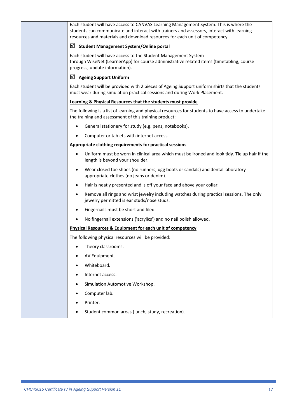Each student will have access to CANVAS Learning Management System. This is where the students can communicate and interact with trainers and assessors, interact with learning resources and materials and download resources for each unit of competency.

#### **Student Management System/Online portal**

Each student will have access to the Student Management System through WiseNet (LearnerApp) for course administrative related items (timetabling, course progress, update information).

### **Ageing Support Uniform**

Each student will be provided with 2 pieces of Ageing Support uniform shirts that the students must wear during simulation practical sessions and during Work Placement.

#### **Learning & Physical Resources that the students must provide**

The following is a list of learning and physical resources for students to have access to undertake the training and assessment of this training product:

- General stationery for study (e.g. pens, notebooks).
- Computer or tablets with internet access.

#### **Appropriate clothing requirements for practical sessions**

- Uniform must be worn in clinical area which must be ironed and look tidy. Tie up hair if the length is beyond your shoulder.
- Wear closed toe shoes (no runners, ugg boots or sandals) and dental laboratory appropriate clothes (no jeans or denim).
- Hair is neatly presented and is off your face and above your collar.
- Remove all rings and wrist jewelry including watches during practical sessions. The only jewelry permitted is ear studs/nose studs.
- Fingernails must be short and filed.
- No fingernail extensions ('acrylics') and no nail polish allowed.

#### **Physical Resources & Equipment for each unit of competency**

The following physical resources will be provided:

- Theory classrooms.
- AV Equipment.
- Whiteboard.
- Internet access.
- Simulation Automotive Workshop.
- Computer lab.
- Printer.
- Student common areas (lunch, study, recreation).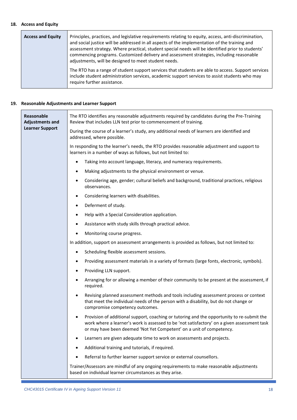#### <span id="page-17-0"></span>**18. Access and Equity**

| <b>Access and Equity</b> | Principles, practices, and legislative requirements relating to equity, access, anti-discrimination,<br>and social justice will be addressed in all aspects of the implementation of the training and<br>assessment strategy. Where practical, student special needs will be identified prior to students'<br>commencing programs. Customized delivery and assessment strategies, including reasonable<br>adjustments, will be designed to meet student needs. |
|--------------------------|----------------------------------------------------------------------------------------------------------------------------------------------------------------------------------------------------------------------------------------------------------------------------------------------------------------------------------------------------------------------------------------------------------------------------------------------------------------|
|                          | The RTO has a range of student support services that students are able to access. Support services<br>include student administration services, academic support services to assist students who may<br>require further assistance.                                                                                                                                                                                                                             |

#### <span id="page-17-1"></span>**19. Reasonable Adjustments and Learner Support**

| Reasonable<br><b>Adjustments and</b><br><b>Learner Support</b> | The RTO identifies any reasonable adjustments required by candidates during the Pre-Training<br>Review that includes LLN test prior to commencement of training.                                                                                                               |  |  |  |  |  |  |
|----------------------------------------------------------------|--------------------------------------------------------------------------------------------------------------------------------------------------------------------------------------------------------------------------------------------------------------------------------|--|--|--|--|--|--|
|                                                                | During the course of a learner's study, any additional needs of learners are identified and<br>addressed, where possible.                                                                                                                                                      |  |  |  |  |  |  |
|                                                                | In responding to the learner's needs, the RTO provides reasonable adjustment and support to<br>learners in a number of ways as follows, but not limited to:                                                                                                                    |  |  |  |  |  |  |
|                                                                | Taking into account language, literacy, and numeracy requirements.<br>$\bullet$                                                                                                                                                                                                |  |  |  |  |  |  |
|                                                                | Making adjustments to the physical environment or venue.<br>٠                                                                                                                                                                                                                  |  |  |  |  |  |  |
|                                                                | Considering age, gender; cultural beliefs and background, traditional practices, religious<br>$\bullet$<br>observances.                                                                                                                                                        |  |  |  |  |  |  |
|                                                                | Considering learners with disabilities.<br>٠                                                                                                                                                                                                                                   |  |  |  |  |  |  |
|                                                                | Deferment of study.                                                                                                                                                                                                                                                            |  |  |  |  |  |  |
|                                                                | Help with a Special Consideration application.<br>$\bullet$                                                                                                                                                                                                                    |  |  |  |  |  |  |
|                                                                | Assistance with study skills through practical advice.<br>$\bullet$                                                                                                                                                                                                            |  |  |  |  |  |  |
|                                                                | Monitoring course progress.<br>٠                                                                                                                                                                                                                                               |  |  |  |  |  |  |
|                                                                | In addition, support on assessment arrangements is provided as follows, but not limited to:                                                                                                                                                                                    |  |  |  |  |  |  |
|                                                                | Scheduling flexible assessment sessions.<br>$\bullet$                                                                                                                                                                                                                          |  |  |  |  |  |  |
|                                                                | Providing assessment materials in a variety of formats (large fonts, electronic, symbols).<br>٠                                                                                                                                                                                |  |  |  |  |  |  |
|                                                                | Providing LLN support.                                                                                                                                                                                                                                                         |  |  |  |  |  |  |
|                                                                | Arranging for or allowing a member of their community to be present at the assessment, if<br>٠<br>required.                                                                                                                                                                    |  |  |  |  |  |  |
|                                                                | Revising planned assessment methods and tools including assessment process or context<br>$\bullet$<br>that meet the individual needs of the person with a disability, but do not change or<br>compromise competency outcomes.                                                  |  |  |  |  |  |  |
|                                                                | Provision of additional support, coaching or tutoring and the opportunity to re-submit the<br>$\bullet$<br>work where a learner's work is assessed to be 'not satisfactory' on a given assessment task<br>or may have been deemed 'Not Yet Competent' on a unit of competency. |  |  |  |  |  |  |
|                                                                | Learners are given adequate time to work on assessments and projects.                                                                                                                                                                                                          |  |  |  |  |  |  |
|                                                                | Additional training and tutorials, if required.                                                                                                                                                                                                                                |  |  |  |  |  |  |
|                                                                | Referral to further learner support service or external counsellors.                                                                                                                                                                                                           |  |  |  |  |  |  |
|                                                                | Trainer/Assessors are mindful of any ongoing requirements to make reasonable adjustments<br>based on individual learner circumstances as they arise.                                                                                                                           |  |  |  |  |  |  |